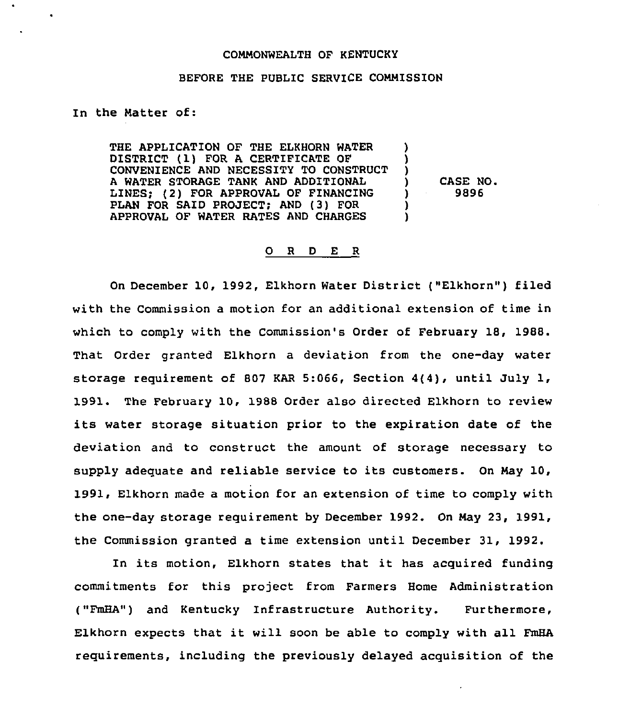## COMMONWEALTH OF KENTUCKY

## BEFORE THE PUBLIC SERVICE COMMISSION

In the Natter of:

THE APPLICATION OF THE ELKHORN WATER DISTRICT (1) FOR <sup>A</sup> CERTIFICATE OF CONVENIENCE AND NECESSITY TO CONSTRUCT A WATER STORAGE TANK AND ADDITIONAL LINES; (2) FOR APPROVAL OF FINANCING PLAN FOR SAID PROJECT; AND (3) FOR APPROVAL OF WATER RATES AND CHARGES ) ) )<br>) ) )

) CASE NO.<br>19896 ) 9896

## 0 <sup>R</sup> <sup>D</sup> E <sup>R</sup>

On December 10, 1992, Elkhorn Water District ("Elkhorn") filed with the Commission a motion for an additional extension of time in which to comply with the Commission's Order of February 18, 1988. That Order granted Elkhorn a deviation from the one-day water storage requirement of 807 KAR 5:066, Section 4(4), until July 1, 1991. The February 10, 1988 Order also directed Elkhorn to review its water storage situation prior to the expiration date of the deviation and to construct the amount of storage necessary to supply adequate and reliable service to its customers. On Nay 10, 1991, Elkhorn made a motion for an extension of time to comply with the one-day storage requirement by December 1992. On Nay 23, 1991, the Commission granted a time extension until December 31, 1992.

In its motion, Elkhorn states that it has acquired funding commitments for this project from Farmers Home Administration ("FmHA") and Kentucky Infrastructure Authority. Furthermore, Elkhorn expects that it will soon be able to comply with all FmHA requirements, including the previously delayed acquisition of the